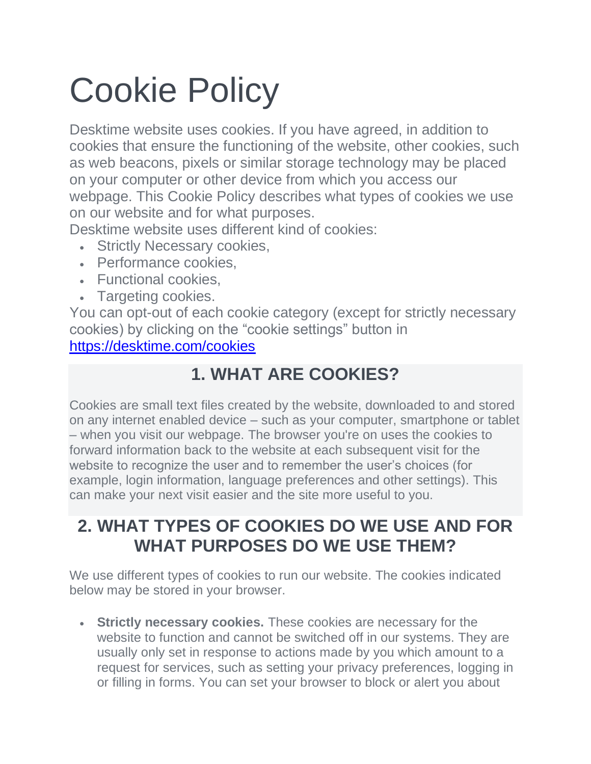# Cookie Policy

Desktime website uses cookies. If you have agreed, in addition to cookies that ensure the functioning of the website, other cookies, such as web beacons, pixels or similar storage technology may be placed on your computer or other device from which you access our webpage. This Cookie Policy describes what types of cookies we use on our website and for what purposes.

Desktime website uses different kind of cookies:

- Strictly Necessary cookies,
- Performance cookies,
- Functional cookies,
- Targeting cookies.

You can opt-out of each cookie category (except for strictly necessary cookies) by clicking on the "cookie settings" button in <https://desktime.com/cookies>

### **1. WHAT ARE COOKIES?**

Cookies are small text files created by the website, downloaded to and stored on any internet enabled device – such as your computer, smartphone or tablet – when you visit our webpage. The browser you're on uses the cookies to forward information back to the website at each subsequent visit for the website to recognize the user and to remember the user's choices (for example, login information, language preferences and other settings). This can make your next visit easier and the site more useful to you.

#### **2. WHAT TYPES OF COOKIES DO WE USE AND FOR WHAT PURPOSES DO WE USE THEM?**

We use different types of cookies to run our website. The cookies indicated below may be stored in your browser.

• **Strictly necessary cookies.** These cookies are necessary for the website to function and cannot be switched off in our systems. They are usually only set in response to actions made by you which amount to a request for services, such as setting your privacy preferences, logging in or filling in forms. You can set your browser to block or alert you about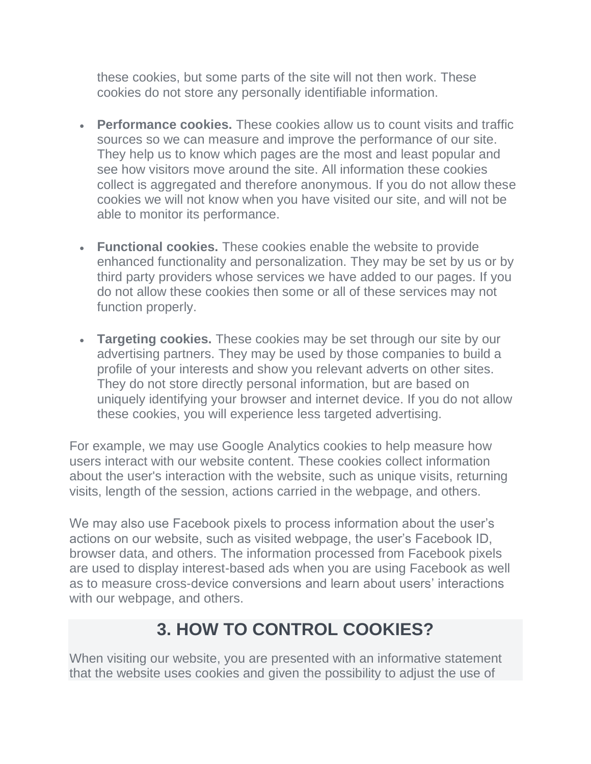these cookies, but some parts of the site will not then work. These cookies do not store any personally identifiable information.

- **Performance cookies.** These cookies allow us to count visits and traffic sources so we can measure and improve the performance of our site. They help us to know which pages are the most and least popular and see how visitors move around the site. All information these cookies collect is aggregated and therefore anonymous. If you do not allow these cookies we will not know when you have visited our site, and will not be able to monitor its performance.
- **Functional cookies.** These cookies enable the website to provide enhanced functionality and personalization. They may be set by us or by third party providers whose services we have added to our pages. If you do not allow these cookies then some or all of these services may not function properly.
- **Targeting cookies.** These cookies may be set through our site by our advertising partners. They may be used by those companies to build a profile of your interests and show you relevant adverts on other sites. They do not store directly personal information, but are based on uniquely identifying your browser and internet device. If you do not allow these cookies, you will experience less targeted advertising.

For example, we may use Google Analytics cookies to help measure how users interact with our website content. These cookies collect information about the user's interaction with the website, such as unique visits, returning visits, length of the session, actions carried in the webpage, and others.

We may also use Facebook pixels to process information about the user's actions on our website, such as visited webpage, the user's Facebook ID, browser data, and others. The information processed from Facebook pixels are used to display interest-based ads when you are using Facebook as well as to measure cross-device conversions and learn about users' interactions with our webpage, and others.

#### **3. HOW TO CONTROL COOKIES?**

When visiting our website, you are presented with an informative statement that the website uses cookies and given the possibility to adjust the use of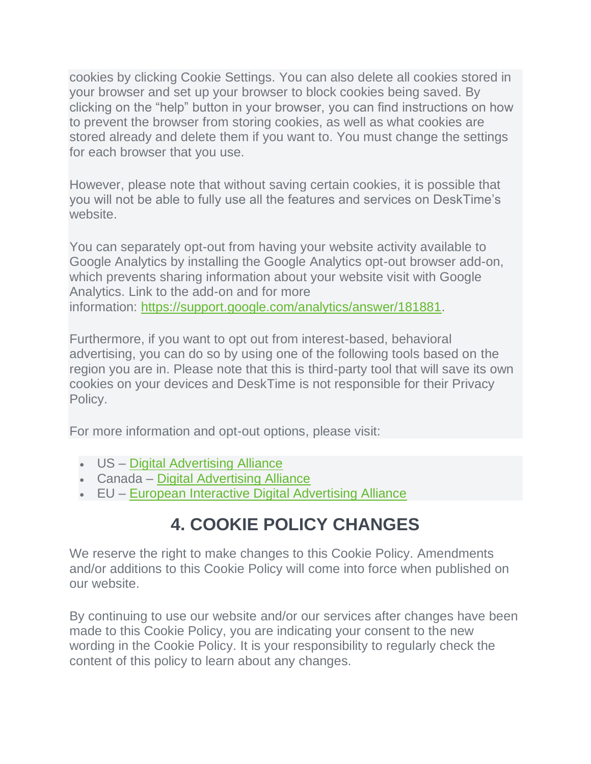cookies by clicking Cookie Settings. You can also delete all cookies stored in your browser and set up your browser to block cookies being saved. By clicking on the "help" button in your browser, you can find instructions on how to prevent the browser from storing cookies, as well as what cookies are stored already and delete them if you want to. You must change the settings for each browser that you use.

However, please note that without saving certain cookies, it is possible that you will not be able to fully use all the features and services on DeskTime's website.

You can separately opt-out from having your website activity available to Google Analytics by installing the Google Analytics opt-out browser add-on, which prevents sharing information about your website visit with Google Analytics. Link to the add-on and for more information: [https://support.google.com/analytics/answer/181881.](https://support.google.com/analytics/answer/181881)

Furthermore, if you want to opt out from interest-based, behavioral advertising, you can do so by using one of the following tools based on the region you are in. Please note that this is third-party tool that will save its own cookies on your devices and DeskTime is not responsible for their Privacy Policy.

For more information and opt-out options, please visit:

- US [Digital Advertising Alliance](https://youradchoices.com/)
- Canada [Digital Advertising Alliance](https://youradchoices.ca/)
- EU [European Interactive Digital Advertising Alliance](https://www.youronlinechoices.eu/)

# **4. COOKIE POLICY CHANGES**

We reserve the right to make changes to this Cookie Policy. Amendments and/or additions to this Cookie Policy will come into force when published on our website.

By continuing to use our website and/or our services after changes have been made to this Cookie Policy, you are indicating your consent to the new wording in the Cookie Policy. It is your responsibility to regularly check the content of this policy to learn about any changes.